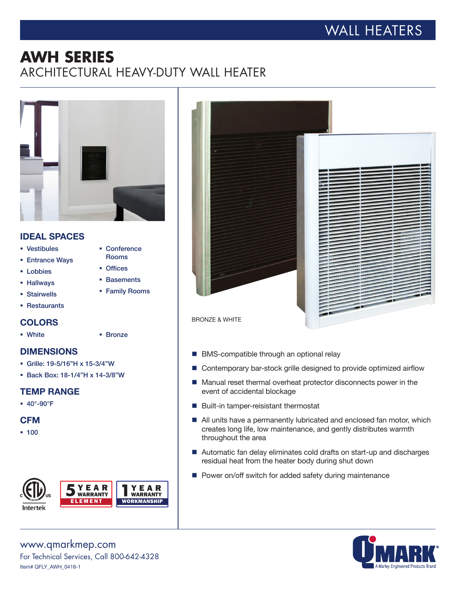# WALL HEATERS

## **AWH SERIES** ARCHITECTURAL HEAVY-DUTY WALL HEATER



## IDEAL SPACES

- § Vestibules
- § Entrance Ways
- Lobbies
- § Hallways
- § Stairwells
- § Restaurants

## **COLORS**

§ White

#### § Bronze

§ Conference Rooms ■ Offices § Basements § Family Rooms

## DIMENSIONS

- § Grille: 19-5/16"H x 15-3/4"W
- § Back Box: 18-1/4"H x 14-3/8"W

#### TEMP RANGE

§ 40°-90°F

## **CFM**

§ 100







- BMS-compatible through an optional relay
- Contemporary bar-stock grille designed to provide optimized airflow
- Manual reset thermal overheat protector disconnects power in the event of accidental blockage
- $\blacksquare$  Built-in tamper-reisistant thermostat
- All units have a permanently lubricated and enclosed fan motor, which creates long life, low maintenance, and gently distributes warmth throughout the area
- Automatic fan delay eliminates cold drafts on start-up and discharges residual heat from the heater body during shut down
- Power on/off switch for added safety during maintenance